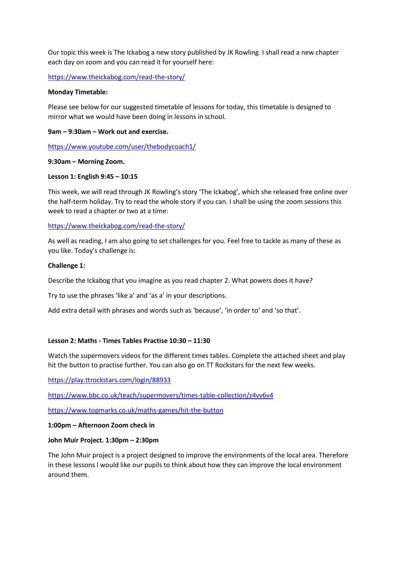Our topic this week is The Ickabog a new story published by JK Rowling. I shall read a new chapter each day on zoom and you can read it for yourself here:

<https://www.theickabog.com/read-the-story/>

## **Monday Timetable:**

Please see below for our suggested timetable of lessons for today, this timetable is designed to mirror what we would have been doing in lessons in school.

#### **9am – 9:30am – Work out and exercise.**

<https://www.youtube.com/user/thebodycoach1/>

#### **9:30am – Morning Zoom.**

## **Lesson 1: English 9:45 – 10:15**

This week, we will read through JK Rowling's story 'The Ickabog', which she released free online over the half-term holiday. Try to read the whole story if you can. I shall be using the zoom sessions this week to read a chapter or two at a time:

<https://www.theickabog.com/read-the-story/>

As well as reading, I am also going to set challenges for you. Feel free to tackle as many of these as you like. Today's challenge is:

#### **Challenge 1:**

Describe the Ickabog that you imagine as you read chapter 2. What powers does it have?

Try to use the phrases 'like a' and 'as a' in your descriptions.

Add extra detail with phrases and words such as 'because', 'in order to' and 'so that'.

## **Lesson 2: Maths - Times Tables Practise 10:30 – 11:30**

Watch the supermovers videos for the different times tables. Complete the attached sheet and play hit the button to practise further. You can also go on TT Rockstars for the next few weeks.

<https://play.ttrockstars.com/login/88933>

<https://www.bbc.co.uk/teach/supermovers/times-table-collection/z4vv6v4>

<https://www.topmarks.co.uk/maths-games/hit-the-button>

#### **1:00pm – Afternoon Zoom check in**

## **John Muir Project. 1:30pm – 2:30pm**

The John Muir project is a project designed to improve the environments of the local area. Therefore in these lessons I would like our pupils to think about how they can improve the local environment around them.